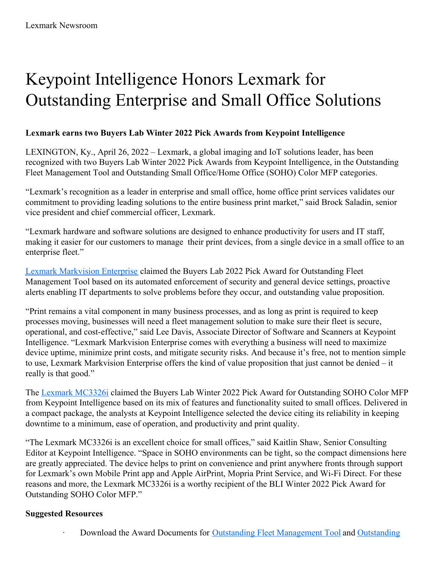# Keypoint Intelligence Honors Lexmark for Outstanding Enterprise and Small Office Solutions

## **Lexmark earns two Buyers Lab Winter 2022 Pick Awards from Keypoint Intelligence**

LEXINGTON, Ky., April 26, 2022 – Lexmark, a global imaging and IoT solutions leader, has been recognized with two Buyers Lab Winter 2022 Pick Awards from Keypoint Intelligence, in the Outstanding Fleet Management Tool and Outstanding Small Office/Home Office (SOHO) Color MFP categories.

"Lexmark's recognition as a leader in enterprise and small office, home office print services validates our commitment to providing leading solutions to the entire business print market," said Brock Saladin, senior vice president and chief commercial officer, Lexmark.

"Lexmark hardware and software solutions are designed to enhance productivity for users and IT staff, making it easier for our customers to manage their print devices, from a single device in a small office to an enterprise fleet."

Lexmark [Markvision](https://www.lexmark.com/en_us/solutions/print-solutions/markvision-enterprise.html) Enterprise claimed the Buyers Lab 2022 Pick Award for Outstanding Fleet Management Tool based on its automated enforcement of security and general device settings, proactive alerts enabling IT departments to solve problems before they occur, and outstanding value proposition.

"Print remains a vital component in many business processes, and as long as print is required to keep processes moving, businesses will need a fleet management solution to make sure their fleet is secure, operational, and cost-effective," said Lee Davis, Associate Director of Software and Scanners at Keypoint Intelligence. "Lexmark Markvision Enterprise comes with everything a business will need to maximize device uptime, minimize print costs, and mitigate security risks. And because it's free, not to mention simple to use, Lexmark Markvision Enterprise offers the kind of value proposition that just cannot be denied – it really is that good."

The Lexmark [MC3326i](https://www.lexmark.com/en_us/printer/21758/Lexmark-Color-All-in-One-3-series-MC3326i) claimed the Buyers Lab Winter 2022 Pick Award for Outstanding SOHO Color MFP from Keypoint Intelligence based on its mix of features and functionality suited to small offices. Delivered in a compact package, the analysts at Keypoint Intelligence selected the device citing its reliability in keeping downtime to a minimum, ease of operation, and productivity and print quality.

"The Lexmark MC3326i is an excellent choice for small offices," said Kaitlin Shaw, Senior Consulting Editor at Keypoint Intelligence. "Space in SOHO environments can be tight, so the compact dimensions here are greatly appreciated. The device helps to print on convenience and print anywhere fronts through support for Lexmark's own Mobile Print app and Apple AirPrint, Mopria Print Service, and Wi-Fi Direct. For these reasons and more, the Lexmark MC3326i is a worthy recipient of the BLI Winter 2022 Pick Award for Outstanding SOHO Color MFP."

## **Suggested Resources**

· Download the Award Documents for Outstanding Fleet [Management](https://filecache.mediaroom.com/mr5mr_lexmark/198869/Article-Lexmark-Markvision-Enterprise.pdf) Tool and Outstanding